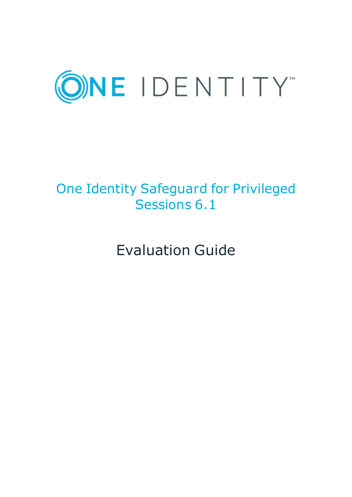

# One Identity Safeguard for Privileged Sessions 6.1

Evaluation Guide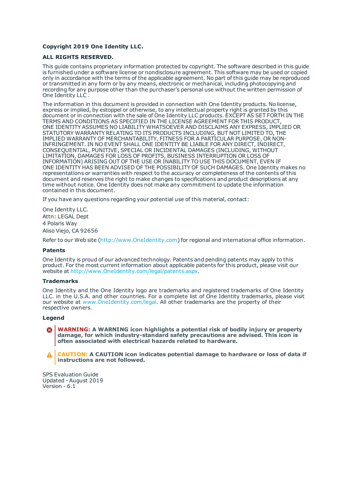#### **Copyright 2019 One Identity LLC.**

#### **ALL RIGHTS RESERVED.**

This guide contains proprietary information protected by copyright. The software described in this guide is furnished under a software license or nondisclosure agreement. This software may be used or copied only in accordance with the terms of the applicable agreement. No part of this guide may be reproduced or transmitted in any form or by any means, electronic or mechanical, including photocopying and recording for any purpose other than the purchaser's personal use without the written permission of One Identity LLC .

The information in this document is provided in connection with One Identity products. No license, express or implied, by estoppel or otherwise, to any intellectual property right is granted by this document or in connection with the sale of One Identity LLC products. EXCEPT AS SET FORTH IN THE TERMS AND CONDITIONS AS SPECIFIED IN THE LICENSE AGREEMENT FOR THIS PRODUCT, ONE IDENTITY ASSUMES NO LIABILITY WHATSOEVER AND DISCLAIMS ANY EXPRESS, IMPLIED OR STATUTORY WARRANTY RELATING TO ITS PRODUCTS INCLUDING, BUT NOT LIMITED TO, THE IMPLIED WARRANTY OF MERCHANTABILITY, FITNESS FOR A PARTICULAR PURPOSE, OR NON-INFRINGEMENT. IN NO EVENT SHALL ONE IDENTITY BE LIABLE FOR ANY DIRECT, INDIRECT, CONSEQUENTIAL, PUNITIVE, SPECIAL OR INCIDENTAL DAMAGES (INCLUDING, WITHOUT LIMITATION, DAMAGES FOR LOSS OF PROFITS, BUSINESS INTERRUPTION OR LOSS OF INFORMATION) ARISING OUT OF THE USE OR INABILITY TO USE THIS DOCUMENT, EVEN IF ONE IDENTITY HAS BEEN ADVISED OF THE POSSIBILITY OF SUCH DAMAGES. One Identity makes no representations or warranties with respect to the accuracy or completeness of the contents of this document and reserves the right to make changes to specifications and product descriptions at any time without notice. One Identity does not make any commitment to update the information contained in this document.

If you have any questions regarding your potential use of this material, contact:

One Identity LLC. Attn: LEGAL Dept 4 Polaris Way Aliso Viejo, CA 92656

Refer to our Web site ([http://www.OneIdentity.com](http://www.oneidentity.com/)) for regional and international office information.

#### **Patents**

One Identity is proud of our advanced technology. Patents and pending patents may apply to this product. For the most current information about applicable patents for this product, please visit our website at [http://www.OneIdentity.com/legal/patents.aspx](http://www.oneidentity.com/legal/patents.aspx).

#### **Trademarks**

One Identity and the One Identity logo are trademarks and registered trademarks of One Identity LLC. in the U.S.A. and other countries. For a complete list of One Identity trademarks, please visit our website at [www.OneIdentity.com/legal](http://www.oneidentity.com/legal). All other trademarks are the property of their respective owners.

#### **Legend**

**WARNING: A WARNING icon highlights a potential risk of bodily injury or property damage, for which industry-standard safety precautions are advised. This icon is often associated with electrical hazards related to hardware.**

**CAUTION: A CAUTION icon indicates potential damage to hardware or loss of data if** A **instructions are not followed.**

SPS Evaluation Guide Updated - August 2019 Version - 6.1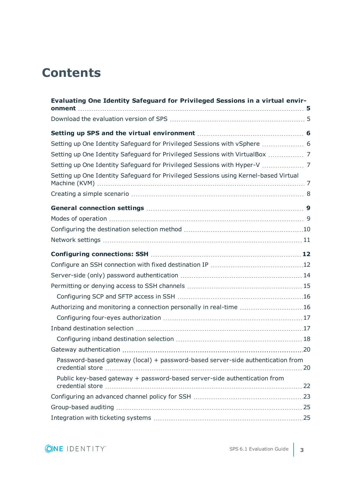## **Contents**

| Evaluating One Identity Safeguard for Privileged Sessions in a virtual envir-<br>onment |  |
|-----------------------------------------------------------------------------------------|--|
|                                                                                         |  |
|                                                                                         |  |
| Setting up One Identity Safeguard for Privileged Sessions with vSphere  6               |  |
| Setting up One Identity Safeguard for Privileged Sessions with VirtualBox  7            |  |
|                                                                                         |  |
| Setting up One Identity Safeguard for Privileged Sessions using Kernel-based Virtual    |  |
|                                                                                         |  |
|                                                                                         |  |
|                                                                                         |  |
|                                                                                         |  |
|                                                                                         |  |
|                                                                                         |  |
|                                                                                         |  |
|                                                                                         |  |
|                                                                                         |  |
|                                                                                         |  |
| Authorizing and monitoring a connection personally in real-time 16                      |  |
|                                                                                         |  |
|                                                                                         |  |
|                                                                                         |  |
|                                                                                         |  |
| Password-based gateway (local) + password-based server-side authentication from         |  |
| Public key-based gateway + password-based server-side authentication from               |  |
|                                                                                         |  |
|                                                                                         |  |
|                                                                                         |  |
|                                                                                         |  |

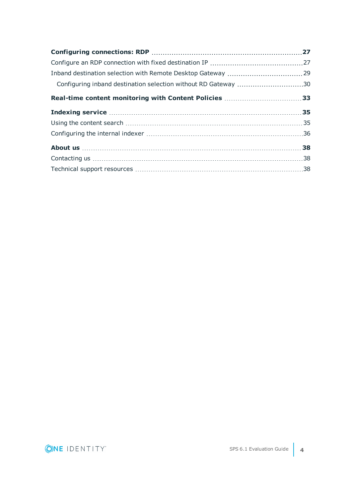| Configuring inband destination selection without RD Gateway 30 |  |
|----------------------------------------------------------------|--|
| Real-time content monitoring with Content Policies 33          |  |
|                                                                |  |
|                                                                |  |
|                                                                |  |
|                                                                |  |
|                                                                |  |
|                                                                |  |

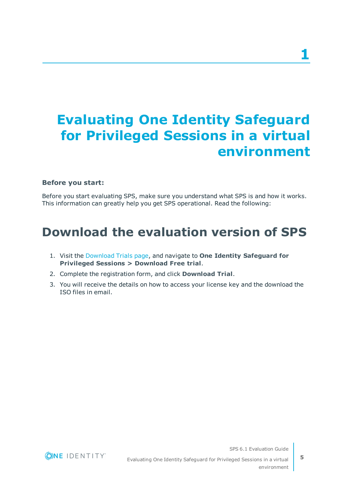# <span id="page-4-0"></span>**Evaluating One Identity Safeguard for Privileged Sessions in a virtual environment**

### **Before you start:**

Before you start evaluating SPS, make sure you understand what SPS is and how it works. This information can greatly help you get SPS operational. Read the following:

## <span id="page-4-1"></span>**Download the evaluation version of SPS**

- 1. Visit the [Download](https://www.oneidentity.com/trials/) Trials page, and navigate to **One Identity Safeguard for Privileged Sessions > Download Free trial**.
- 2. Complete the registration form, and click **Download Trial**.
- 3. You will receive the details on how to access your license key and the download the ISO files in email.



Evaluating One Identity Safeguard for Privileged Sessions in a virtual environment

SPS 6.1 Evaluation Guide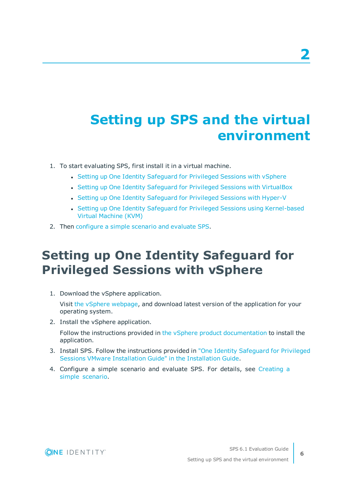# <span id="page-5-0"></span>**Setting up SPS and the virtual environment**

- 1. To start evaluating SPS, first install it in a virtual machine.
	- Setting up One Identity [Safeguard](#page-5-1) for Privileged Sessions with vSphere
	- Setting up One Identity Safeguard for Privileged Sessions with [VirtualBox](#page-6-0)
	- Setting up One Identity [Safeguard](#page-6-1) for Privileged Sessions with Hyper-V
	- Setting up One Identity Safeguard for Privileged Sessions using [Kernel-based](#page-6-2) Virtual [Machine](#page-6-2) (KVM)
- <span id="page-5-1"></span>2. Then [configure](#page-7-0) a simple scenario and evaluate SPS.

## **Setting up One Identity Safeguard for Privileged Sessions with vSphere**

1. Download the vSphere application.

Visit the vSphere [webpage](https://my.vmware.com/en/web/vmware/info/slug/datacenter_cloud_infrastructure/vmware_vsphere/6_0), and download latest version of the application for your operating system.

2. Install the vSphere application.

Follow the instructions provided in the vSphere product [documentation](https://www.vmware.com/support/pubs/vsphere-esxi-vcenter-server-pubs.html) to install the application.

- 3. Install SPS. Follow the instructions provided in "One Identity [Safeguard](https://support.oneidentity.com/technical-documents/safeguard-for-privileged-sessions/6.1.0/installation-guide/) for Privileged Sessions VMware [Installation](https://support.oneidentity.com/technical-documents/safeguard-for-privileged-sessions/6.1.0/installation-guide/) Guide" in the Installation Guide.
- 4. Configure a simple scenario and evaluate SPS. For details, see [Creating](#page-7-0) a simple [scenario.](#page-7-0)



SPS 6.1 Evaluation Guide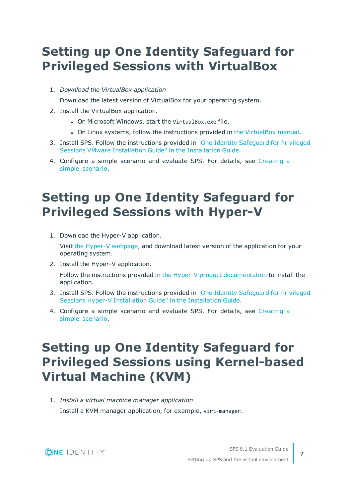## <span id="page-6-0"></span>**Setting up One Identity Safeguard for Privileged Sessions with VirtualBox**

1. *Download the VirtualBox application*

Download the latest version of VirtualBox for your operating system.

- 2. Install the VirtualBox application.
	- On Microsoft Windows, start the VirtualBox.exe file.
	- On Linux systems, follow the instructions provided in the [VirtualBox](https://www.virtualbox.org/manual/ch02.html#install-linux-host) manual.
- 3. Install SPS. Follow the instructions provided in "One Identity [Safeguard](https://support.oneidentity.com/technical-documents/safeguard-for-privileged-sessions/6.1.0/installation-guide/) for Privileged Sessions VMware [Installation](https://support.oneidentity.com/technical-documents/safeguard-for-privileged-sessions/6.1.0/installation-guide/) Guide" in the Installation Guide.
- 4. Configure a simple scenario and evaluate SPS. For details, see [Creating](#page-7-0) a simple [scenario.](#page-7-0)

## <span id="page-6-1"></span>**Setting up One Identity Safeguard for Privileged Sessions with Hyper-V**

1. Download the Hyper-V application.

Visit the Hyper-V [webpage](https://docs.microsoft.com/en-us/previous-versions/windows/it-pro/windows-server-2012-R2-and-2012/mt169373(v=ws.11)), and download latest version of the application for your operating system.

2. Install the Hyper-V application.

Follow the instructions provided in the Hyper-V product [documentation](https://docs.microsoft.com/en-us/previous-versions/windows/it-pro/windows-server-2012-R2-and-2012/mt169373(v=ws.11)) to install the application.

- 3. Install SPS. Follow the instructions provided in "One Identity [Safeguard](https://support.oneidentity.com/technical-documents/safeguard-for-privileged-sessions/6.1.0/installation-guide/) for Privileged Sessions Hyper-V [Installation](https://support.oneidentity.com/technical-documents/safeguard-for-privileged-sessions/6.1.0/installation-guide/) Guide" in the Installation Guide.
- 4. Configure a simple scenario and evaluate SPS. For details, see [Creating](#page-7-0) a simple [scenario.](#page-7-0)

# <span id="page-6-2"></span>**Setting up One Identity Safeguard for Privileged Sessions using Kernel-based Virtual Machine (KVM)**

1. *Install a virtual machine manager application* Install a KVM manager application, for example, virt-manager.



**7**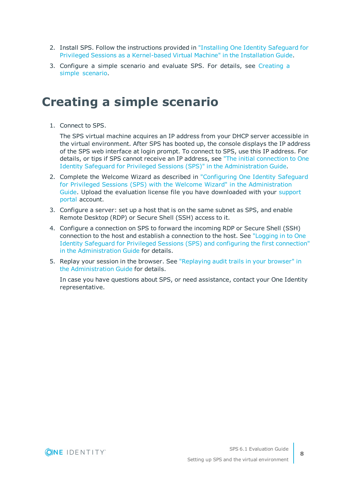- 2. Install SPS. Follow the instructions provided in ["Installing](https://support.oneidentity.com/technical-documents/safeguard-for-privileged-sessions/6.1.0/installation-guide/) One Identity Safeguard for Privileged Sessions as a [Kernel-based](https://support.oneidentity.com/technical-documents/safeguard-for-privileged-sessions/6.1.0/installation-guide/) Virtual Machine" in the Installation Guide.
- 3. Configure a simple scenario and evaluate SPS. For details, see [Creating](#page-7-0) a simple [scenario.](#page-7-0)

### <span id="page-7-0"></span>**Creating a simple scenario**

1. Connect to SPS.

The SPS virtual machine acquires an IP address from your DHCP server accessible in the virtual environment. After SPS has booted up, the console displays the IP address of the SPS web interface at login prompt. To connect to SPS, use this IP address. For details, or tips if SPS cannot receive an IP address, see "The initial [connection](https://support.oneidentity.com/technical-documents/safeguard-for-privileged-sessions/6.1.0/administration-guide/the-welcome-wizard-and-the-first-login/the-initial-connection-to-one-identity-safeguard-for-privileged-sessions-sps/) to One Identity Safeguard for Privileged Sessions (SPS)" in the [Administration](https://support.oneidentity.com/technical-documents/safeguard-for-privileged-sessions/6.1.0/administration-guide/the-welcome-wizard-and-the-first-login/the-initial-connection-to-one-identity-safeguard-for-privileged-sessions-sps/) Guide.

- 2. Complete the Welcome Wizard as described in ["Configuring](https://support.oneidentity.com/technical-documents/safeguard-for-privileged-sessions/6.1.0/administration-guide/the-welcome-wizard-and-the-first-login/configuring-one-identity-safeguard-for-privileged-sessions-sps-with-the-welcome-wizard/) One Identity Safeguard for Privileged Sessions (SPS) with the Welcome Wizard" in the [Administration](https://support.oneidentity.com/technical-documents/safeguard-for-privileged-sessions/6.1.0/administration-guide/the-welcome-wizard-and-the-first-login/configuring-one-identity-safeguard-for-privileged-sessions-sps-with-the-welcome-wizard/) [Guide.](https://support.oneidentity.com/technical-documents/safeguard-for-privileged-sessions/6.1.0/administration-guide/the-welcome-wizard-and-the-first-login/configuring-one-identity-safeguard-for-privileged-sessions-sps-with-the-welcome-wizard/) Upload the evaluation license file you have downloaded with your [support](https://support.oneidentity.com/en-US/Login) [portal](https://support.oneidentity.com/en-US/Login) account.
- 3. Configure a server: set up a host that is on the same subnet as SPS, and enable Remote Desktop (RDP) or Secure Shell (SSH) access to it.
- 4. Configure a connection on SPS to forward the incoming RDP or Secure Shell (SSH) connection to the host and establish a connection to the host. See ["Logging](https://support.oneidentity.com/technical-documents/safeguard-for-privileged-sessions/6.1.0/administration-guide/the-welcome-wizard-and-the-first-login/logging-in-to-one-identity-safeguard-for-privileged-sessions-sps-and-configuring-the-first-connection/) in to One Identity Safeguard for Privileged Sessions (SPS) and configuring the first [connection"](https://support.oneidentity.com/technical-documents/safeguard-for-privileged-sessions/6.1.0/administration-guide/the-welcome-wizard-and-the-first-login/logging-in-to-one-identity-safeguard-for-privileged-sessions-sps-and-configuring-the-first-connection/) in the [Administration](https://support.oneidentity.com/technical-documents/safeguard-for-privileged-sessions/6.1.0/administration-guide/the-welcome-wizard-and-the-first-login/logging-in-to-one-identity-safeguard-for-privileged-sessions-sps-and-configuring-the-first-connection/) Guide for details.
- 5. Replay your session in the browser. See ["Replaying](https://support.oneidentity.com/technical-documents/safeguard-for-privileged-sessions/6.1.0/administration-guide/using-the-search-interface/replaying-audit-trails-in-your-browser/) audit trails in your browser" in the [Administration](https://support.oneidentity.com/technical-documents/safeguard-for-privileged-sessions/6.1.0/administration-guide/using-the-search-interface/replaying-audit-trails-in-your-browser/) Guide for details.

In case you have questions about SPS, or need assistance, contact your One Identity representative.



SPS 6.1 Evaluation Guide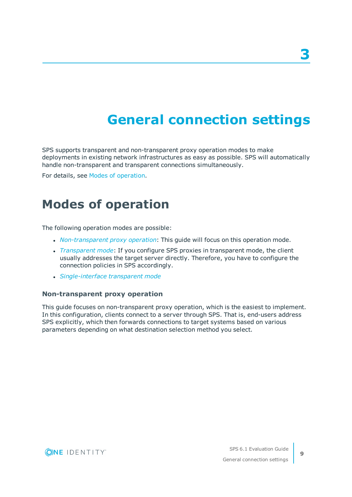# **General connection settings**

<span id="page-8-0"></span>SPS supports transparent and non-transparent proxy operation modes to make deployments in existing network infrastructures as easy as possible. SPS will automatically handle non-transparent and transparent connections simultaneously.

<span id="page-8-1"></span>For details, see Modes of [operation](https://support.oneidentity.com/technical-documents/safeguard-for-privileged-sessions/6.1.0/administration-guide/the-concepts-of-one-identity-safeguard-for-privileged-sessions-sps/modes-of-operation/).

### **Modes of operation**

The following operation modes are possible:

- [Non-transparent](#page-8-2) *proxy operation*: This guide will focus on this operation mode.
- <sup>l</sup> *[Transparent](https://support.oneidentity.com/technical-documents/safeguard-for-privileged-sessions/6.1.0/administration-guide/the-concepts-of-one-identity-safeguard-for-privileged-sessions-sps/modes-of-operation/transparent-mode/) mode*: If you configure SPS proxies in transparent mode, the client usually addresses the target server directly. Therefore, you have to configure the connection policies in SPS accordingly.
- <sup>l</sup> *[Single-interface](https://support.oneidentity.com/technical-documents/safeguard-for-privileged-sessions/6.1.0/administration-guide/the-concepts-of-one-identity-safeguard-for-privileged-sessions-sps/modes-of-operation/single-interface-transparent-mode/) transparent mode*

#### <span id="page-8-2"></span>**Non-transparent proxy operation**

This guide focuses on non-transparent proxy operation, which is the easiest to implement. In this configuration, clients connect to a server through SPS. That is, end-users address SPS explicitly, which then forwards connections to target systems based on various parameters depending on what destination selection method you select.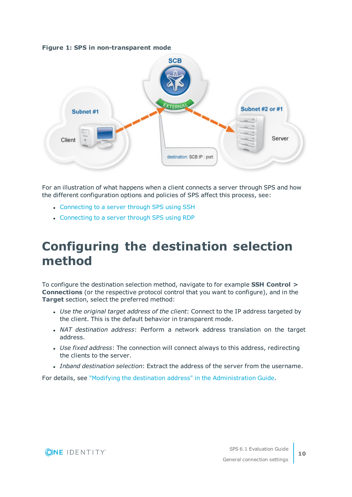#### **Figure 1: SPS in non-transparent mode**



For an illustration of what happens when a client connects a server through SPS and how the different configuration options and policies of SPS affect this process, see:

- [Connecting](https://support.oneidentity.com/technical-documents/safeguard-for-privileged-sessions/6.1.0/administration-guide/the-concepts-of-one-identity-safeguard-for-privileged-sessions-sps/connecting-to-a-server-through-one-identity-safeguard-for-privileged-sessions-sps/connecting-to-a-server-through-one-identity-safeguard-for-privileged-sessions-sps-using-ssh/) to a server through SPS using SSH
- [Connecting](https://support.oneidentity.com/technical-documents/safeguard-for-privileged-sessions/6.1.0/administration-guide/the-concepts-of-one-identity-safeguard-for-privileged-sessions-sps/connecting-to-a-server-through-one-identity-safeguard-for-privileged-sessions-sps/connecting-to-a-server-through-one-identity-safeguard-for-privileged-sessions-sps-using-rdp/) to a server through SPS using RDP

## <span id="page-9-0"></span>**Configuring the destination selection method**

To configure the destination selection method, navigate to for example **SSH Control > Connections** (or the respective protocol control that you want to configure), and in the **Target** section, select the preferred method:

- <sup>l</sup> *Use the original target address of the client*: Connect to the IP address targeted by the client. This is the default behavior in transparent mode.
- <sup>l</sup> *NAT destination address*: Perform a network address translation on the target address.
- <sup>l</sup> *Use fixed address*: The connection will connect always to this address, redirecting the clients to the server.
- <sup>l</sup> *Inband destination selection*: Extract the address of the server from the username.

For details, see "Modifying the destination address" in the [Administration](https://support.oneidentity.com/technical-documents/safeguard-for-privileged-sessions/6.1.0/administration-guide/general-connection-settings/modifying-the-destination-address/) Guide.

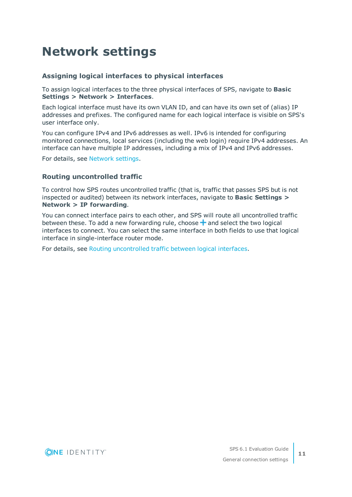# <span id="page-10-0"></span>**Network settings**

### **Assigning logical interfaces to physical interfaces**

To assign logical interfaces to the three physical interfaces of SPS, navigate to **Basic Settings > Network > Interfaces**.

Each logical interface must have its own VLAN ID, and can have its own set of (alias) IP addresses and prefixes. The configured name for each logical interface is visible on SPS's user interface only.

You can configure IPv4 and IPv6 addresses as well. IPv6 is intended for configuring monitored connections, local services (including the web login) require IPv4 addresses. An interface can have multiple IP addresses, including a mix of IPv4 and IPv6 addresses.

For details, see [Network](https://support.oneidentity.com/technical-documents/safeguard-for-privileged-sessions/6.1.0/administration-guide/basic-settings/network-settings/) settings.

#### **Routing uncontrolled traffic**

To control how SPS routes uncontrolled traffic (that is, traffic that passes SPS but is not inspected or audited) between its network interfaces, navigate to **Basic Settings > Network > IP forwarding**.

You can connect interface pairs to each other, and SPS will route all uncontrolled traffic between these. To add a new forwarding rule, choose  $\pm$  and select the two logical interfaces to connect. You can select the same interface in both fields to use that logical interface in single-interface router mode.

For details, see Routing [uncontrolled](https://support.oneidentity.com/technical-documents/safeguard-for-privileged-sessions/6.1.0/administration-guide/basic-settings/network-settings/routing-uncontrolled-traffic-between-logical-interfaces/) traffic between logical interfaces.

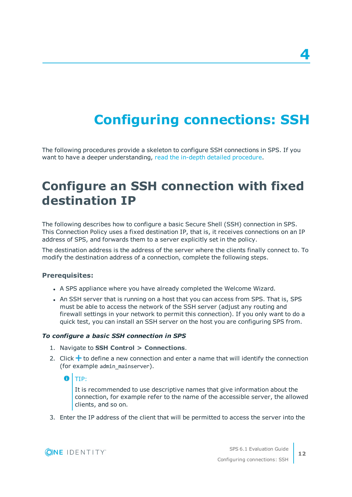# **Configuring connections: SSH**

<span id="page-11-0"></span>The following procedures provide a skeleton to configure SSH connections in SPS. If you want to have a deeper understanding, read the in-depth detailed [procedure](https://support.oneidentity.com/technical-documents/safeguard-for-privileged-sessions/6.1.0/administration-guide/general-connection-settings/configuring-connections/).

## <span id="page-11-1"></span>**Configure an SSH connection with fixed destination IP**

The following describes how to configure a basic Secure Shell (SSH) connection in SPS. This Connection Policy uses a fixed destination IP, that is, it receives connections on an IP address of SPS, and forwards them to a server explicitly set in the policy.

The destination address is the address of the server where the clients finally connect to. To modify the destination address of a connection, complete the following steps.

#### **Prerequisites:**

- A SPS appliance where you have already completed the Welcome Wizard.
- An SSH server that is running on a host that you can access from SPS. That is, SPS must be able to access the network of the SSH server (adjust any routing and firewall settings in your network to permit this connection). If you only want to do a quick test, you can install an SSH server on the host you are configuring SPS from.

#### *To configure a basic SSH connection in SPS*

- 1. Navigate to **SSH Control > Connections**.
- 2. Click  $\bigstar$  to define a new connection and enter a name that will identify the connection (for example admin mainserver).

O TIP:

It is recommended to use descriptive names that give information about the connection, for example refer to the name of the accessible server, the allowed clients, and so on.

3. Enter the IP address of the client that will be permitted to access the server into the

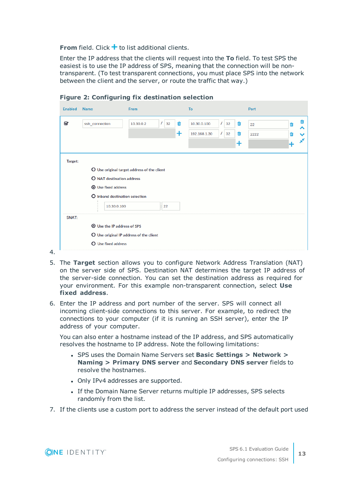**From** field. Click  $\pm$  to list additional clients.

Enter the IP address that the clients will request into the **To** field. To test SPS the easiest is to use the IP address of SPS, meaning that the connection will be nontransparent. (To test transparent connections, you must place SPS into the network between the client and the server, or route the traffic that way.)

| Ø            | ssh_connection                     | 10.30.0.2                                   | 7<br>32<br>面 | 10.30.0.100  | 32<br>7 | 面 | 22   | m |
|--------------|------------------------------------|---------------------------------------------|--------------|--------------|---------|---|------|---|
|              |                                    |                                             | $\ddot{}$    | 192.168.1.30 | 32<br>7 | 會 | 2222 | m |
|              |                                    |                                             |              |              |         | ÷ |      |   |
| Target:      |                                    |                                             |              |              |         |   |      |   |
|              |                                    | O Use original target address of the client |              |              |         |   |      |   |
|              | O NAT destination address          |                                             |              |              |         |   |      |   |
|              | <b>O</b> Use fixed address         |                                             |              |              |         |   |      |   |
|              | O Inband destination selection     |                                             |              |              |         |   |      |   |
|              | 10.30.0.100                        |                                             | : 22         |              |         |   |      |   |
| <b>SNAT:</b> |                                    |                                             |              |              |         |   |      |   |
|              | <b>O</b> Use the IP address of SPS |                                             |              |              |         |   |      |   |
|              |                                    | O Use original IP address of the client     |              |              |         |   |      |   |
|              |                                    | O Use fixed address                         |              |              |         |   |      |   |

**Figure 2: Configuring fix destination selection**

- 5. The **Target** section allows you to configure Network Address Translation (NAT) on the server side of SPS. Destination NAT determines the target IP address of the server-side connection. You can set the destination address as required for your environment. For this example non-transparent connection, select **Use fixed address**.
- 6. Enter the IP address and port number of the server. SPS will connect all incoming client-side connections to this server. For example, to redirect the connections to your computer (if it is running an SSH server), enter the IP address of your computer.

You can also enter a hostname instead of the IP address, and SPS automatically resolves the hostname to IP address. Note the following limitations:

- <sup>l</sup> SPS uses the Domain Name Servers set **Basic Settings > Network > Naming > Primary DNS server** and **Secondary DNS server** fields to resolve the hostnames.
- Only IPv4 addresses are supported.
- If the Domain Name Server returns multiple IP addresses, SPS selects randomly from the list.
- 7. If the clients use a custom port to address the server instead of the default port used

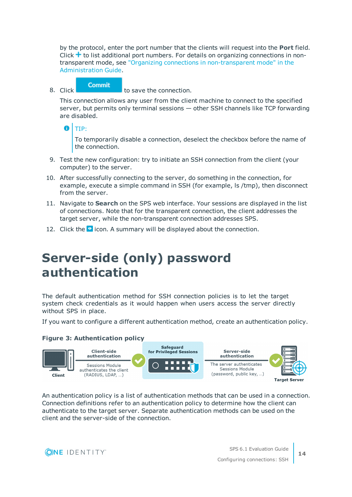by the protocol, enter the port number that the clients will request into the **Port** field. Click  $\pm$  to list additional port numbers. For details on organizing connections in nontransparent mode, see "Organizing connections in [non-transparent](https://support.oneidentity.com/technical-documents/safeguard-for-privileged-sessions/6.1.0/administration-guide/one-identity-safeguard-for-privileged-sessions-sps-scenarios/organizing-connections-in-non-transparent-mode/) mode" in the [Administration](https://support.oneidentity.com/technical-documents/safeguard-for-privileged-sessions/6.1.0/administration-guide/one-identity-safeguard-for-privileged-sessions-sps-scenarios/organizing-connections-in-non-transparent-mode/) Guide.

**Commit** 8. Click **the connection.** to save the connection.

This connection allows any user from the client machine to connect to the specified server, but permits only terminal sessions — other SSH channels like TCP forwarding are disabled.

Œ TIP:

> To temporarily disable a connection, deselect the checkbox before the name of the connection.

- 9. Test the new configuration: try to initiate an SSH connection from the client (your computer) to the server.
- 10. After successfully connecting to the server, do something in the connection, for example, execute a simple command in SSH (for example, ls /tmp), then disconnect from the server.
- 11. Navigate to **Search** on the SPS web interface. Your sessions are displayed in the list of connections. Note that for the transparent connection, the client addresses the target server, while the non-transparent connection addresses SPS.
- <span id="page-13-0"></span>12. Click the  $\bullet$  icon. A summary will be displayed about the connection.

# **Server-side (only) password authentication**

The default authentication method for SSH connection policies is to let the target system check credentials as it would happen when users access the server directly without SPS in place.

If you want to configure a different authentication method, create an authentication policy.

### **Figure 3: Authentication policy**



An authentication policy is a list of authentication methods that can be used in a connection. Connection definitions refer to an authentication policy to determine how the client can authenticate to the target server. Separate authentication methods can be used on the client and the server-side of the connection.

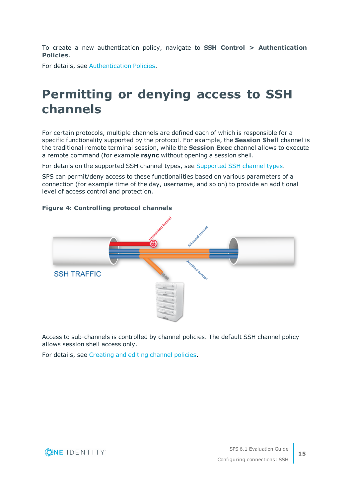To create a new authentication policy, navigate to **SSH Control > Authentication Policies**.

<span id="page-14-0"></span>For details, see [Authentication](https://support.oneidentity.com/technical-documents/safeguard-for-privileged-sessions/6.1.0/administration-guide/ssh-specific-settings/authentication-policies/) Policies.

### **Permitting or denying access to SSH channels**

For certain protocols, multiple channels are defined each of which is responsible for a specific functionality supported by the protocol. For example, the **Session Shell** channel is the traditional remote terminal session, while the **Session Exec** channel allows to execute a remote command (for example **rsync** without opening a session shell.

For details on the supported SSH channel types, see [Supported](https://support.oneidentity.com/technical-documents/safeguard-for-privileged-sessions/6.1.0/administration-guide/ssh-specific-settings/supported-ssh-channel-types/) SSH channel types.

SPS can permit/deny access to these functionalities based on various parameters of a connection (for example time of the day, username, and so on) to provide an additional level of access control and protection.

#### **Figure 4: Controlling protocol channels**



Access to sub-channels is controlled by channel policies. The default SSH channel policy allows session shell access only.

For details, see [Creating](https://support.oneidentity.com/technical-documents/safeguard-for-privileged-sessions/6.1.0/administration-guide/general-connection-settings/creating-and-editing-channel-policies/) and editing channel policies.

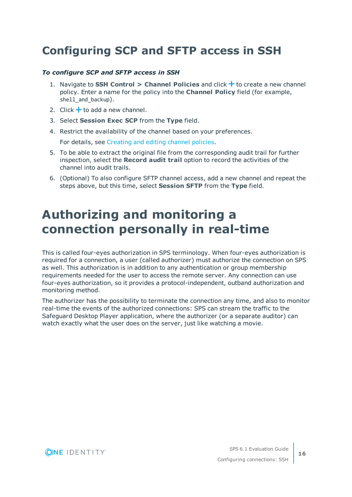### <span id="page-15-0"></span>**Configuring SCP and SFTP access in SSH**

#### *To configure SCP and SFTP access in SSH*

- 1. Navigate to **SSH Control > Channel Policies** and click  $\frac{1}{\tau}$  to create a new channel policy. Enter a name for the policy into the **Channel Policy** field (for example, shell\_and\_backup).
- 2. Click  $\pm$  to add a new channel.
- 3. Select **Session Exec SCP** from the **Type** field.
- 4. Restrict the availability of the channel based on your preferences.

For details, see [Creating](https://support.oneidentity.com/technical-documents/safeguard-for-privileged-sessions/6.1.0/administration-guide/general-connection-settings/creating-and-editing-channel-policies/) and editing channel policies.

- 5. To be able to extract the original file from the corresponding audit trail for further inspection, select the **Record audit trail** option to record the activities of the channel into audit trails.
- 6. (Optional) To also configure SFTP channel access, add a new channel and repeat the steps above, but this time, select **Session SFTP** from the **Type** field.

## <span id="page-15-1"></span>**Authorizing and monitoring a connection personally in real-time**

This is called four-eyes authorization in SPS terminology. When four-eyes authorization is required for a connection, a user (called authorizer) must authorize the connection on SPS as well. This authorization is in addition to any authentication or group membership requirements needed for the user to access the remote server. Any connection can use four-eyes authorization, so it provides a protocol-independent, outband authorization and monitoring method.

The authorizer has the possibility to terminate the connection any time, and also to monitor real-time the events of the authorized connections: SPS can stream the traffic to the Safeguard Desktop Player application, where the authorizer (or a separate auditor) can watch exactly what the user does on the server, just like watching a movie.

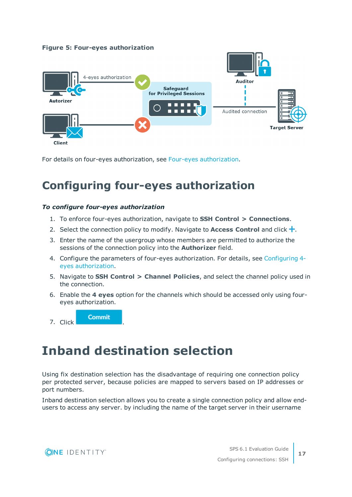### **Figure 5: Four-eyes authorization**



<span id="page-16-0"></span>For details on four-eyes authorization, see Four-eyes [authorization.](https://support.oneidentity.com/technical-documents/safeguard-for-privileged-sessions/6.1.0/administration-guide/the-concepts-of-one-identity-safeguard-for-privileged-sessions-sps/four-eyes-authorization/)

### **Configuring four-eyes authorization**

#### *To configure four-eyes authorization*

**Commit** 

- 1. To enforce four-eyes authorization, navigate to **SSH Control > Connections**.
- 2. Select the connection policy to modify. Navigate to **Access Control** and click .
- 3. Enter the name of the usergroup whose members are permitted to authorize the sessions of the connection policy into the **Authorizer** field.
- 4. Configure the parameters of four-eyes authorization. For details, see [Configuring](https://support.oneidentity.com/technical-documents/safeguard-for-privileged-sessions/6.1.0/administration-guide/advanced-authentication-and-authorization-techniques/configuring-four-eyes-authorization/) 4 eyes [authorization.](https://support.oneidentity.com/technical-documents/safeguard-for-privileged-sessions/6.1.0/administration-guide/advanced-authentication-and-authorization-techniques/configuring-four-eyes-authorization/)
- 5. Navigate to **SSH Control > Channel Policies**, and select the channel policy used in the connection.
- 6. Enable the **4 eyes** option for the channels which should be accessed only using foureyes authorization.

<span id="page-16-1"></span>7. Click .

## **Inband destination selection**

Using fix destination selection has the disadvantage of requiring one connection policy per protected server, because policies are mapped to servers based on IP addresses or port numbers.

Inband destination selection allows you to create a single connection policy and allow endusers to access any server. by including the name of the target server in their username

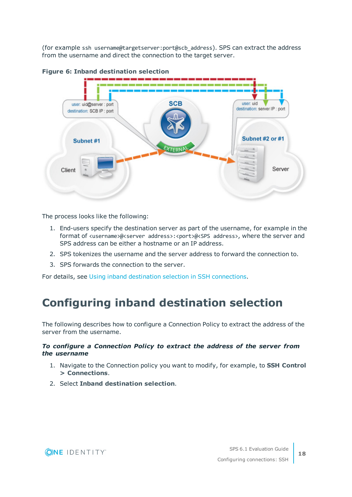(for example ssh username@targetserver:port@scb\_address). SPS can extract the address from the username and direct the connection to the target server.



#### **Figure 6: Inband destination selection**

The process looks like the following:

- 1. End-users specify the destination server as part of the username, for example in the format of <username>@<server address>:<port>@<sPS address>, where the server and SPS address can be either a hostname or an IP address.
- 2. SPS tokenizes the username and the server address to forward the connection to.
- 3. SPS forwards the connection to the server.

<span id="page-17-0"></span>For details, see Using inband destination selection in SSH [connections](https://support.oneidentity.com/technical-documents/safeguard-for-privileged-sessions/6.1.0/administration-guide/one-identity-safeguard-for-privileged-sessions-sps-scenarios/using-inband-destination-selection-in-ssh-connections/).

### **Configuring inband destination selection**

The following describes how to configure a Connection Policy to extract the address of the server from the username.

#### *To configure a Connection Policy to extract the address of the server from the username*

- 1. Navigate to the Connection policy you want to modify, for example, to **SSH Control > Connections**.
- 2. Select **Inband destination selection**.

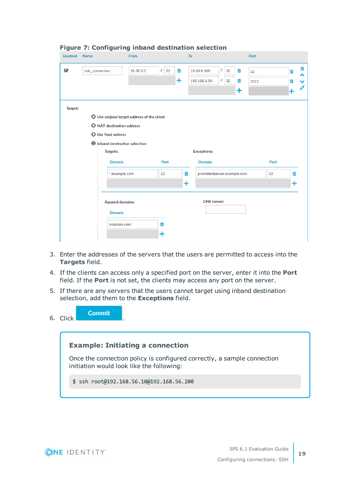| <b>Enabled</b> | <b>Name</b>                      | From                                        |                | To        |                              |          |    |           | Port |      |   |   |
|----------------|----------------------------------|---------------------------------------------|----------------|-----------|------------------------------|----------|----|-----------|------|------|---|---|
| Q              | ssh connection                   | 10.30.0.2                                   | $\prime$<br>32 | Ŵ         | 10.30.0.100                  | $\prime$ | 32 | Ŵ         | 22   |      | Ŵ | 茴 |
|                |                                  |                                             |                | $\ddot{}$ | 192.168.1.50                 | $\prime$ | 32 | Ŵ         | 2222 |      | Ŵ |   |
|                |                                  |                                             |                |           |                              |          |    | $\ddot{}$ |      |      |   | X |
| Target:        |                                  |                                             |                |           |                              |          |    |           |      |      |   |   |
|                |                                  | O Use original target address of the client |                |           |                              |          |    |           |      |      |   |   |
|                | <b>O</b> NAT destination address |                                             |                |           |                              |          |    |           |      |      |   |   |
|                | O Use fixed address              |                                             |                |           |                              |          |    |           |      |      |   |   |
|                |                                  | <b>O</b> Inband destination selection       |                |           |                              |          |    |           |      |      |   |   |
|                | <b>Targets:</b>                  |                                             |                |           | <b>Exceptions:</b>           |          |    |           |      |      |   |   |
|                | <b>Domain</b>                    |                                             | Port           |           | <b>Domain</b>                |          |    |           |      | Port |   |   |
|                |                                  | *.example.com                               | 22             | Ŵ         | prohibitedserver.example.com |          |    |           |      | 22   | Ŵ |   |
|                |                                  |                                             |                | $\ddot{}$ |                              |          |    |           |      |      | + |   |
|                |                                  | <b>Append domains:</b>                      |                |           | <b>DNS</b> server:           |          |    |           |      |      |   |   |
|                |                                  |                                             |                |           |                              |          |    |           |      |      |   |   |
|                | <b>Domain</b>                    |                                             |                |           |                              |          |    |           |      |      |   |   |
|                |                                  | example.com                                 | 面              |           |                              |          |    |           |      |      |   |   |

#### **Figure 7: Configuring inband destination selection**

- 3. Enter the addresses of the servers that the users are permitted to access into the **Targets** field.
- 4. If the clients can access only a specified port on the server, enter it into the **Port** field. If the **Port** is not set, the clients may access any port on the server.
- 5. If there are any servers that the users cannot target using inband destination selection, add them to the **Exceptions** field.

|          | Commit |  |
|----------|--------|--|
| 6. Click |        |  |

### **Example: Initiating a connection**

Once the connection policy is configured correctly, a sample connection initiation would look like the following:

\$ ssh root@192.168.56.10@192.168.56.200

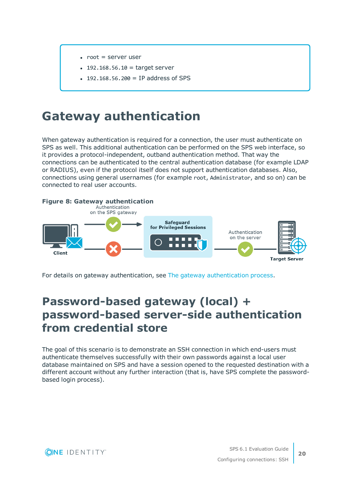- $\bullet$  root = server user
- $192.168.56.10 =$  target server
- 192.168.56.200 = IP address of SPS

### <span id="page-19-0"></span>**Gateway authentication**

When gateway authentication is required for a connection, the user must authenticate on SPS as well. This additional authentication can be performed on the SPS web interface, so it provides a protocol-independent, outband authentication method. That way the connections can be authenticated to the central authentication database (for example LDAP or RADIUS), even if the protocol itself does not support authentication databases. Also, connections using general usernames (for example root, Administrator, and so on) can be connected to real user accounts.



<span id="page-19-1"></span>For details on gateway authentication, see The gateway [authentication](https://support.oneidentity.com/technical-documents/safeguard-for-privileged-sessions/6.1.0/administration-guide/the-concepts-of-one-identity-safeguard-for-privileged-sessions-sps/the-gateway-authentication-process/) process.

### **Password-based gateway (local) + password-based server-side authentication from credential store**

The goal of this scenario is to demonstrate an SSH connection in which end-users must authenticate themselves successfully with their own passwords against a local user database maintained on SPS and have a session opened to the requested destination with a different account without any further interaction (that is, have SPS complete the passwordbased login process).

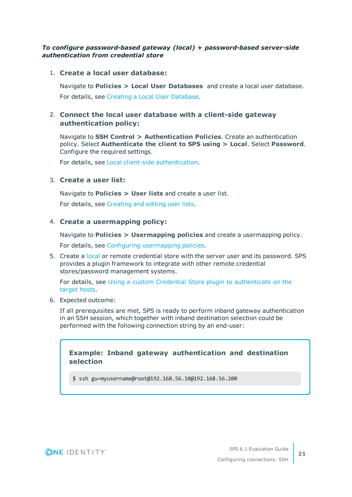#### *To configure password-based gateway (local) + password-based server-side authentication from credential store*

#### 1. **Create a local user database:**

Navigate to **Policies > Local User Databases** and create a local user database.

For details, see Creating a Local User [Database](https://support.oneidentity.com/technical-documents/safeguard-for-privileged-sessions/6.1.0/administration-guide/general-connection-settings/creating-a-local-user-database/).

### 2. **Connect the local user database with a client-side gateway authentication policy:**

Navigate to **SSH Control > Authentication Policies**. Create an authentication policy. Select **Authenticate the client to SPS using > Local**. Select **Password**. Configure the required settings.

For details, see Local client-side [authentication](https://support.oneidentity.com/technical-documents/safeguard-for-privileged-sessions/6.1.0/administration-guide/ssh-specific-settings/authentication-policies/client-side-authentication-settings/local-client-side-authentication/).

### 3. **Create a user list:**

Navigate to **Policies > User lists** and create a user list.

For details, see [Creating](https://support.oneidentity.com/technical-documents/safeguard-for-privileged-sessions/6.1.0/administration-guide/general-connection-settings/creating-and-editing-user-lists/) and editing user lists.

### 4. **Create a usermapping policy:**

Navigate to **Policies > Usermapping policies** and create a usermapping policy.

For details, see Configuring [usermapping](https://support.oneidentity.com/technical-documents/safeguard-for-privileged-sessions/6.1.0/administration-guide/advanced-authentication-and-authorization-techniques/configuring-usermapping-policies/) policies.

5. Create a [local](https://support.oneidentity.com/technical-documents/safeguard-for-privileged-sessions/6.1.0/administration-guide/advanced-authentication-and-authorization-techniques/using-credential-stores-for-server-side-authentication/configuring-local-credential-stores/) or remote credential store with the server user and its password. SPS provides a plugin framework to integrate with other remote credential stores/password management systems.

For details, see Using a custom Credential Store plugin to [authenticate](https://support.oneidentity.com/technical-documents/safeguard-for-privileged-sessions/6.1.0/administration-guide/advanced-authentication-and-authorization-techniques/using-credential-stores-for-server-side-authentication/using-a-custom-credential-store-plugin-to-authenticate-on-the-target-hosts/) on the [target](https://support.oneidentity.com/technical-documents/safeguard-for-privileged-sessions/6.1.0/administration-guide/advanced-authentication-and-authorization-techniques/using-credential-stores-for-server-side-authentication/using-a-custom-credential-store-plugin-to-authenticate-on-the-target-hosts/) hosts.

6. Expected outcome:

If all prerequisites are met, SPS is ready to perform inband gateway authentication in an SSH session, which together with inband destination selection could be performed with the following connection string by an end-user:

### **Example: Inband gateway authentication and destination selection**

\$ ssh gu=myusername@root@192.168.56.10@192.168.56.200

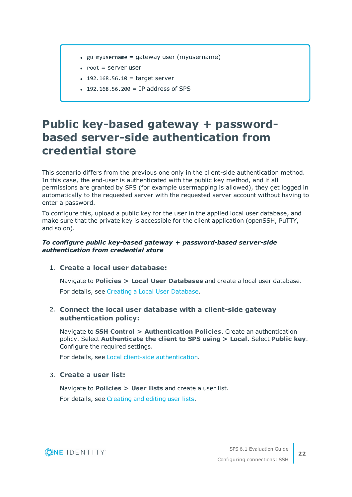- $\equiv$  gu=myusername = gateway user (myusername)
- $\bullet$  root = server user
- $192.168.56.10 =$  target server
- $192.168.56.200 = IP$  address of SPS

### <span id="page-21-0"></span>**Public key-based gateway + passwordbased server-side authentication from credential store**

This scenario differs from the previous one only in the client-side authentication method. In this case, the end-user is authenticated with the public key method, and if all permissions are granted by SPS (for example usermapping is allowed), they get logged in automatically to the requested server with the requested server account without having to enter a password.

To configure this, upload a public key for the user in the applied local user database, and make sure that the private key is accessible for the client application (openSSH, PuTTY, and so on).

#### *To configure public key-based gateway + password-based server-side authentication from credential store*

1. **Create a local user database:**

Navigate to **Policies > Local User Databases** and create a local user database. For details, see Creating a Local User [Database](https://support.oneidentity.com/technical-documents/safeguard-for-privileged-sessions/6.1.0/administration-guide/general-connection-settings/creating-a-local-user-database/).

### 2. **Connect the local user database with a client-side gateway authentication policy:**

Navigate to **SSH Control > Authentication Policies**. Create an authentication policy. Select **Authenticate the client to SPS using > Local**. Select **Public key**. Configure the required settings.

For details, see Local client-side [authentication](https://support.oneidentity.com/technical-documents/safeguard-for-privileged-sessions/6.1.0/administration-guide/ssh-specific-settings/authentication-policies/client-side-authentication-settings/local-client-side-authentication/).

### 3. **Create a user list:**

Navigate to **Policies > User lists** and create a user list.

For details, see [Creating](https://support.oneidentity.com/technical-documents/safeguard-for-privileged-sessions/6.1.0/administration-guide/general-connection-settings/creating-and-editing-user-lists/) and editing user lists.

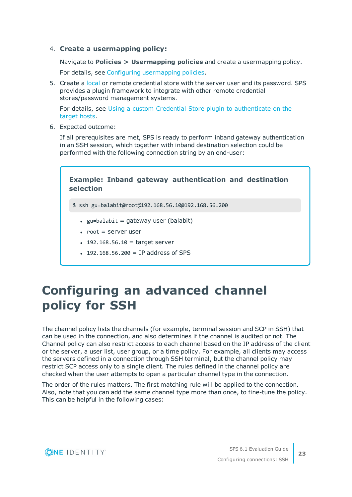#### 4. **Create a usermapping policy:**

Navigate to **Policies > Usermapping policies** and create a usermapping policy.

For details, see Configuring [usermapping](https://support.oneidentity.com/technical-documents/safeguard-for-privileged-sessions/6.1.0/administration-guide/advanced-authentication-and-authorization-techniques/configuring-usermapping-policies/) policies.

5. Create a [local](https://support.oneidentity.com/technical-documents/safeguard-for-privileged-sessions/6.1.0/administration-guide/advanced-authentication-and-authorization-techniques/using-credential-stores-for-server-side-authentication/configuring-local-credential-stores/) or remote credential store with the server user and its password. SPS provides a plugin framework to integrate with other remote credential stores/password management systems.

For details, see Using a custom Credential Store plugin to [authenticate](https://support.oneidentity.com/technical-documents/safeguard-for-privileged-sessions/6.1.0/administration-guide/advanced-authentication-and-authorization-techniques/using-credential-stores-for-server-side-authentication/using-a-custom-credential-store-plugin-to-authenticate-on-the-target-hosts/) on the [target](https://support.oneidentity.com/technical-documents/safeguard-for-privileged-sessions/6.1.0/administration-guide/advanced-authentication-and-authorization-techniques/using-credential-stores-for-server-side-authentication/using-a-custom-credential-store-plugin-to-authenticate-on-the-target-hosts/) hosts.

6. Expected outcome:

If all prerequisites are met, SPS is ready to perform inband gateway authentication in an SSH session, which together with inband destination selection could be performed with the following connection string by an end-user:

### **Example: Inband gateway authentication and destination selection**

\$ ssh gu=balabit@root@192.168.56.10@192.168.56.200

- $\bullet$  gu=balabit = gateway user (balabit)
- $\bullet$  root = server user
- $192.168.56.10 =$  target server
- $192.168.56.200 = IP$  address of SPS

## <span id="page-22-0"></span>**Configuring an advanced channel policy for SSH**

The channel policy lists the channels (for example, terminal session and SCP in SSH) that can be used in the connection, and also determines if the channel is audited or not. The Channel policy can also restrict access to each channel based on the IP address of the client or the server, a user list, user group, or a time policy. For example, all clients may access the servers defined in a connection through SSH terminal, but the channel policy may restrict SCP access only to a single client. The rules defined in the channel policy are checked when the user attempts to open a particular channel type in the connection.

The order of the rules matters. The first matching rule will be applied to the connection. Also, note that you can add the same channel type more than once, to fine-tune the policy. This can be helpful in the following cases:

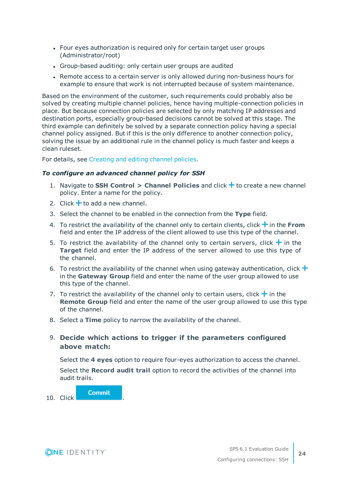- Four eyes authorization is required only for certain target user groups (Administrator/root)
- Group-based auditing: only certain user groups are audited
- Remote access to a certain server is only allowed during non-business hours for example to ensure that work is not interrupted because of system maintenance.

Based on the environment of the customer, such requirements could probably also be solved by creating multiple channel policies, hence having multiple-connection policies in place. But because connection policies are selected by only matching IP addresses and destination ports, especially group-based decisions cannot be solved at this stage. The third example can definitely be solved by a separate connection policy having a special channel policy assigned. But if this is the only difference to another connection policy, solving the issue by an additional rule in the channel policy is much faster and keeps a clean ruleset.

For details, see [Creating](https://support.oneidentity.com/technical-documents/safeguard-for-privileged-sessions/6.1.0/administration-guide/general-connection-settings/creating-and-editing-channel-policies/) and editing channel policies.

#### *To configure an advanced channel policy for SSH*

- 1. Navigate to **SSH Control > Channel Policies** and click **+** to create a new channel policy. Enter a name for the policy.
- 2. Click  $\pm$  to add a new channel.
- 3. Select the channel to be enabled in the connection from the **Type** field.
- 4. To restrict the availability of the channel only to certain clients, click  $\frac{1}{\cdot}$  in the **From** field and enter the IP address of the client allowed to use this type of the channel.
- 5. To restrict the availability of the channel only to certain servers, click  $\pm$  in the **Target** field and enter the IP address of the server allowed to use this type of the channel.
- 6. To restrict the availability of the channel when using gateway authentication, click  $\pm$ in the **Gateway Group** field and enter the name of the user group allowed to use this type of the channel.
- 7. To restrict the availability of the channel only to certain users, click  $\pm$  in the **Remote Group** field and enter the name of the user group allowed to use this type of the channel.
- 8. Select a **Time** policy to narrow the availability of the channel.

### 9. **Decide which actions to trigger if the parameters configured above match:**

Select the **4 eyes** option to require four-eyes authorization to access the channel.

Select the **Record audit trail** option to record the activities of the channel into audit trails.

10. Click

**Commit** 

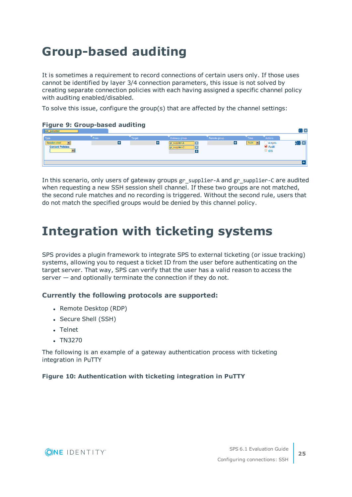# <span id="page-24-0"></span>**Group-based auditing**

It is sometimes a requirement to record connections of certain users only. If those uses cannot be identified by layer 3/4 connection parameters, this issue is not solved by creating separate connection policies with each having assigned a specific channel policy with auditing enabled/disabled.

To solve this issue, configure the group(s) that are affected by the channel settings:

#### **Figure 9: Group-based auditing**



In this scenario, only users of gateway groups gr\_supplier-A and gr\_supplier-C are audited when requesting a new SSH session shell channel. If these two groups are not matched, the second rule matches and no recording is triggered. Without the second rule, users that do not match the specified groups would be denied by this channel policy.

### <span id="page-24-1"></span>**Integration with ticketing systems**

SPS provides a plugin framework to integrate SPS to external ticketing (or issue tracking) systems, allowing you to request a ticket ID from the user before authenticating on the target server. That way, SPS can verify that the user has a valid reason to access the server — and optionally terminate the connection if they do not.

#### **Currently the following protocols are supported:**

- Remote Desktop (RDP)
- Secure Shell (SSH)
- Telnet
- $\cdot$  TN3270

The following is an example of a gateway authentication process with ticketing integration in PuTTY

#### **Figure 10: Authentication with ticketing integration in PuTTY**

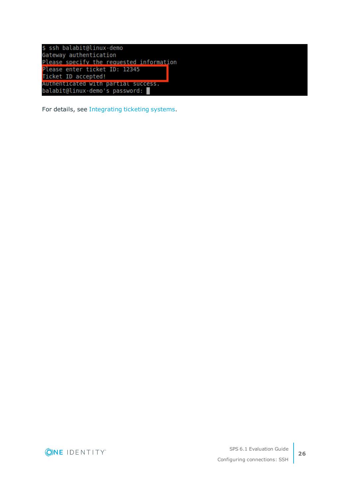| \$ ssh balabit@linux-demo                |
|------------------------------------------|
| Gateway authentication                   |
| Please specify the requested information |
| Please enter ticket ID: 12345            |
| Ticket ID accepted!                      |
| Authenticated with partial success.      |
| balabit@linux-demo's password:           |

For details, see [Integrating](https://support.oneidentity.com/technical-documents/safeguard-for-privileged-sessions/6.1.0/administration-guide/advanced-authentication-and-authorization-techniques/integrating-external-authentication-and-authorization-systems/integrating-ticketing-systems/) ticketing systems.

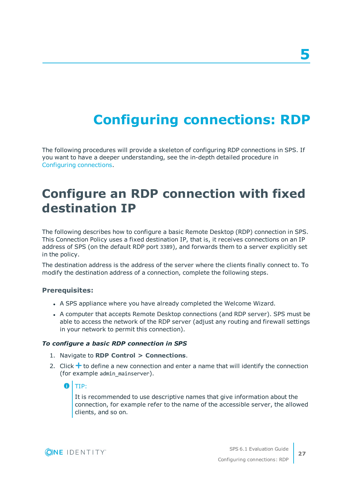# **Configuring connections: RDP**

<span id="page-26-0"></span>The following procedures will provide a skeleton of configuring RDP connections in SPS. If you want to have a deeper understanding, see the in-depth detailed procedure in Configuring [connections.](https://support.oneidentity.com/technical-documents/safeguard-for-privileged-sessions/6.1.0/administration-guide/general-connection-settings/configuring-connections/)

## <span id="page-26-1"></span>**Configure an RDP connection with fixed destination IP**

The following describes how to configure a basic Remote Desktop (RDP) connection in SPS. This Connection Policy uses a fixed destination IP, that is, it receives connections on an IP address of SPS (on the default RDP port 3389), and forwards them to a server explicitly set in the policy.

The destination address is the address of the server where the clients finally connect to. To modify the destination address of a connection, complete the following steps.

#### **Prerequisites:**

- A SPS appliance where you have already completed the Welcome Wizard.
- A computer that accepts Remote Desktop connections (and RDP server). SPS must be able to access the network of the RDP server (adjust any routing and firewall settings in your network to permit this connection).

#### *To configure a basic RDP connection in SPS*

- 1. Navigate to **RDP Control > Connections**.
- 2. Click  $\pm$  to define a new connection and enter a name that will identify the connection (for example admin\_mainserver).

6 TIP:

> It is recommended to use descriptive names that give information about the connection, for example refer to the name of the accessible server, the allowed clients, and so on.

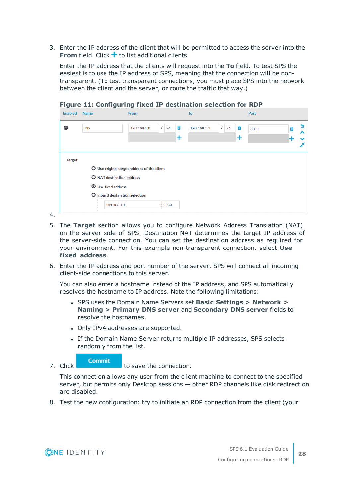3. Enter the IP address of the client that will be permitted to access the server into the **From** field. Click  $\pm$  to list additional clients.

Enter the IP address that the clients will request into the **To** field. To test SPS the easiest is to use the IP address of SPS, meaning that the connection will be nontransparent. (To test transparent connections, you must place SPS into the network between the client and the server, or route the traffic that way.)

| <b>Enabled</b> | <b>Name</b>                      | From                                        |                            | To          |                                | Port |   |   |
|----------------|----------------------------------|---------------------------------------------|----------------------------|-------------|--------------------------------|------|---|---|
| Ø              | rdp                              | 193.168.1.0                                 | $1\overline{24}$<br>面<br>T | 193.168.1.1 | $1\overline{\smash{)}24}$<br>Ŵ | 3389 | 侖 | ⌒ |
| Target:        |                                  |                                             |                            |             |                                |      |   |   |
|                |                                  | O Use original target address of the client |                            |             |                                |      |   |   |
|                | <b>O</b> NAT destination address |                                             |                            |             |                                |      |   |   |
|                | <b>O</b> Use fixed address       |                                             |                            |             |                                |      |   |   |
|                | O Inband destination selection   |                                             |                            |             |                                |      |   |   |
|                | 193.168.1.1<br>$\sim$            |                                             | : 3389                     |             |                                |      |   |   |

**Figure 11: Configuring fixed IP destination selection for RDP**

- 4.
- 5. The **Target** section allows you to configure Network Address Translation (NAT) on the server side of SPS. Destination NAT determines the target IP address of the server-side connection. You can set the destination address as required for your environment. For this example non-transparent connection, select **Use fixed address**.
- 6. Enter the IP address and port number of the server. SPS will connect all incoming client-side connections to this server.

You can also enter a hostname instead of the IP address, and SPS automatically resolves the hostname to IP address. Note the following limitations:

- <sup>l</sup> SPS uses the Domain Name Servers set **Basic Settings > Network > Naming > Primary DNS server** and **Secondary DNS server** fields to resolve the hostnames.
- Only IPv4 addresses are supported.
- If the Domain Name Server returns multiple IP addresses, SPS selects randomly from the list.

#### **Commit**

7. Click **the connection.** to save the connection.

This connection allows any user from the client machine to connect to the specified server, but permits only Desktop sessions — other RDP channels like disk redirection are disabled.

8. Test the new configuration: try to initiate an RDP connection from the client (your

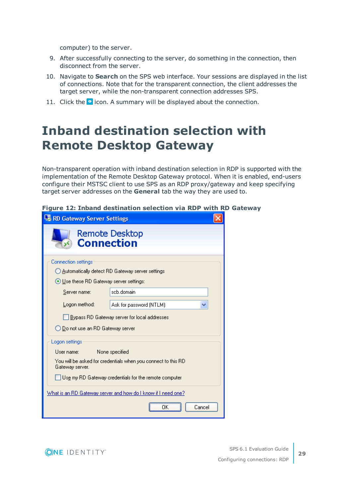computer) to the server.

- 9. After successfully connecting to the server, do something in the connection, then disconnect from the server.
- 10. Navigate to **Search** on the SPS web interface. Your sessions are displayed in the list of connections. Note that for the transparent connection, the client addresses the target server, while the non-transparent connection addresses SPS.
- <span id="page-28-0"></span>11. Click the  $\bullet$  icon. A summary will be displayed about the connection.

# **Inband destination selection with Remote Desktop Gateway**

Non-transparent operation with inband destination selection in RDP is supported with the implementation of the Remote Desktop Gateway protocol. When it is enabled, end-users configure their MSTSC client to use SPS as an RDP proxy/gateway and keep specifying target server addresses on the **General** tab the way they are used to.

|  | Figure 12: Inband destination selection via RDP with RD Gateway |  |  |  |  |
|--|-----------------------------------------------------------------|--|--|--|--|
|  |                                                                 |  |  |  |  |

| <b>Le RD Gateway Server Settings</b>                            |                                                                      |  |  |  |  |  |  |  |  |
|-----------------------------------------------------------------|----------------------------------------------------------------------|--|--|--|--|--|--|--|--|
| <b>Connection</b>                                               | Remote Desktop                                                       |  |  |  |  |  |  |  |  |
| <b>Connection settings</b>                                      |                                                                      |  |  |  |  |  |  |  |  |
|                                                                 | ◯ Automatically detect RD Gateway server settings                    |  |  |  |  |  |  |  |  |
| ⊙ Use these RD Gateway server settings:                         |                                                                      |  |  |  |  |  |  |  |  |
| Server name:                                                    | scb.domain                                                           |  |  |  |  |  |  |  |  |
| Logon method:                                                   | Ask for password (NTLM)                                              |  |  |  |  |  |  |  |  |
|                                                                 | Bypass RD Gateway server for local addresses                         |  |  |  |  |  |  |  |  |
| ◯ Do not use an RD Gateway server                               |                                                                      |  |  |  |  |  |  |  |  |
| Logon settings                                                  |                                                                      |  |  |  |  |  |  |  |  |
| User name:                                                      | None specified                                                       |  |  |  |  |  |  |  |  |
| Gateway server.                                                 | You will be asked for credentials when you connect to this RD        |  |  |  |  |  |  |  |  |
| $\rfloor$ Use my RD Gateway credentials for the remote computer |                                                                      |  |  |  |  |  |  |  |  |
|                                                                 | <u>What is an RD Gateway server and how do I know if I need one?</u> |  |  |  |  |  |  |  |  |
|                                                                 | Cancel                                                               |  |  |  |  |  |  |  |  |

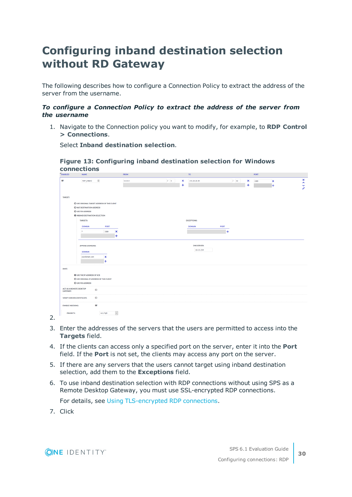### <span id="page-29-0"></span>**Configuring inband destination selection without RD Gateway**

The following describes how to configure a Connection Policy to extract the address of the server from the username.

#### *To configure a Connection Policy to extract the address of the server from the username*

1. Navigate to the Connection policy you want to modify, for example, to **RDP Control > Connections**.

Select **Inband destination selection**.

**Figure 13: Configuring inband destination selection for Windows connections**

| <b>ENABLED</b>          | <b>NAME</b>                                                                            |                                                           |             |                           | <b>FROM</b> |         |           | <b>IQ</b>                        |             |                   |           | <b>PORT</b> |                           |                                       |
|-------------------------|----------------------------------------------------------------------------------------|-----------------------------------------------------------|-------------|---------------------------|-------------|---------|-----------|----------------------------------|-------------|-------------------|-----------|-------------|---------------------------|---------------------------------------|
| Ø                       | RDP_InBand                                                                             | $\left[\begin{smallmatrix} 1\\ 1\end{smallmatrix}\right]$ |             |                           | 0.0.0.0     | $I = 0$ | ×         | 172.20.20.50                     |             | $1 \overline{32}$ | ×         | 3389        | $\boldsymbol{\mathsf{x}}$ | $\pmb{\times}$<br>$\hat{\phantom{a}}$ |
|                         |                                                                                        |                                                           |             |                           |             |         | $\ddot{}$ |                                  |             |                   | $\ddot{}$ |             | $\pm$                     | ¥                                     |
|                         |                                                                                        |                                                           |             |                           |             |         |           |                                  |             |                   |           |             |                           |                                       |
| <b>TARGET:</b>          |                                                                                        |                                                           |             |                           |             |         |           |                                  |             |                   |           |             |                           |                                       |
|                         | <b>O USE ORIGINAL TARGET ADDRESS OF THE CLIENT</b><br><b>O NAT DESTINATION ADDRESS</b> |                                                           |             |                           |             |         |           |                                  |             |                   |           |             |                           |                                       |
|                         | <b>O</b> USE FIX ADDRESS                                                               |                                                           |             |                           |             |         |           |                                  |             |                   |           |             |                           |                                       |
|                         | <b>O INBAND DESTINATION SELECTION</b>                                                  |                                                           |             |                           |             |         |           |                                  |             |                   |           |             |                           |                                       |
|                         | <b>TARGETS:</b>                                                                        |                                                           |             |                           |             |         |           | <b>EXCEPTIONS:</b>               |             |                   |           |             |                           |                                       |
|                         | <b>DOMAIN</b>                                                                          |                                                           | <b>PORT</b> |                           |             |         |           | <b>DOMAIN</b>                    | <b>PORT</b> |                   |           |             |                           |                                       |
|                         | $\mathbf{x}$                                                                           |                                                           | 3389        | $\boldsymbol{\mathsf{x}}$ |             |         |           |                                  |             | $\ddot{}$         |           |             |                           |                                       |
|                         |                                                                                        |                                                           |             | $\pm$                     |             |         |           |                                  |             |                   |           |             |                           |                                       |
|                         |                                                                                        |                                                           |             |                           |             |         |           |                                  |             |                   |           |             |                           |                                       |
|                         | <b>APPEND DOMAINS:</b>                                                                 |                                                           |             |                           |             |         |           | <b>DNS SERVER:</b><br>10.0.5.254 |             |                   |           |             |                           |                                       |
|                         | <b>DOMAIN</b>                                                                          |                                                           |             |                           |             |         |           |                                  |             |                   |           |             |                           |                                       |
|                         | yourdomain.com                                                                         |                                                           | ×           |                           |             |         |           |                                  |             |                   |           |             |                           |                                       |
|                         |                                                                                        |                                                           | $\ddot{}$   |                           |             |         |           |                                  |             |                   |           |             |                           |                                       |
| SNAT:                   |                                                                                        |                                                           |             |                           |             |         |           |                                  |             |                   |           |             |                           |                                       |
|                         | <b>O USE THE IP ADDRESS OF SCB</b>                                                     |                                                           |             |                           |             |         |           |                                  |             |                   |           |             |                           |                                       |
|                         | O USE ORIGINAL IP ADDRESS OF THE CLIENT                                                |                                                           |             |                           |             |         |           |                                  |             |                   |           |             |                           |                                       |
|                         | <b>O</b> USE FIX ADDRESS                                                               |                                                           |             |                           |             |         |           |                                  |             |                   |           |             |                           |                                       |
| <b>GATEWAY:</b>         | <b>ACT AS A REMOTE DESKTOP</b>                                                         | $\Box$                                                    |             |                           |             |         |           |                                  |             |                   |           |             |                           |                                       |
|                         | <b>VERIFY SERVER CERTIFICATE:</b>                                                      | $\Box$                                                    |             |                           |             |         |           |                                  |             |                   |           |             |                           |                                       |
| <b>ENABLE INDEXING:</b> |                                                                                        | B                                                         |             |                           |             |         |           |                                  |             |                   |           |             |                           |                                       |
| <b>PRIORITY:</b>        |                                                                                        |                                                           | very high   | $\backsim$                |             |         |           |                                  |             |                   |           |             |                           |                                       |

2.

- 3. Enter the addresses of the servers that the users are permitted to access into the **Targets** field.
- 4. If the clients can access only a specified port on the server, enter it into the **Port** field. If the **Port** is not set, the clients may access any port on the server.
- 5. If there are any servers that the users cannot target using inband destination selection, add them to the **Exceptions** field.
- 6. To use inband destination selection with RDP connections without using SPS as a Remote Desktop Gateway, you must use SSL-encrypted RDP connections.

For details, see Using [TLS-encrypted](https://support.oneidentity.com/technical-documents/safeguard-for-privileged-sessions/6.1.0/administration-guide/rdp-specific-settings/enabling-tls-encryption-for-rdp-connections/) RDP connections.

7. Click

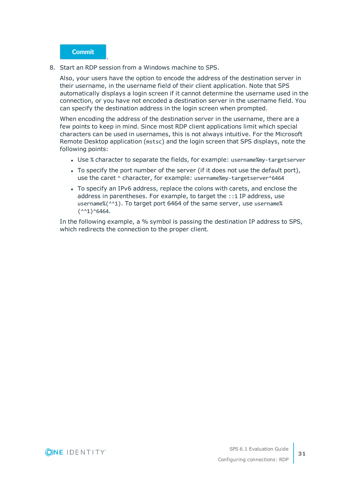

.

8. Start an RDP session from a Windows machine to SPS.

Also, your users have the option to encode the address of the destination server in their username, in the username field of their client application. Note that SPS automatically displays a login screen if it cannot determine the username used in the connection, or you have not encoded a destination server in the username field. You can specify the destination address in the login screen when prompted.

When encoding the address of the destination server in the username, there are a few points to keep in mind. Since most RDP client applications limit which special characters can be used in usernames, this is not always intuitive. For the Microsoft Remote Desktop application (mstsc) and the login screen that SPS displays, note the following points:

- Use % character to separate the fields, for example: username%my-targetserver
- To specify the port number of the server (if it does not use the default port), use the caret  $\wedge$  character, for example: username%my-targetserver $\wedge$ 6464
- To specify an IPv6 address, replace the colons with carets, and enclose the address in parentheses. For example, to target the ::1 IP address, use username%(^^1). To target port 6464 of the same server, use username%  $(^{44}1)^{4}6464$ .

In the following example, a % symbol is passing the destination IP address to SPS, which redirects the connection to the proper client.

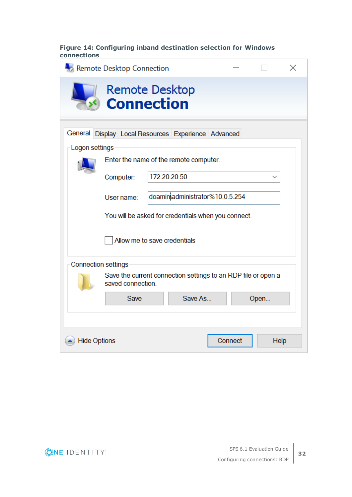### **Figure 14: Configuring inband destination selection for Windows connections**

|                            | Remote Desktop Connection                                                          |  |                                 |         |  |      | X |  |  |
|----------------------------|------------------------------------------------------------------------------------|--|---------------------------------|---------|--|------|---|--|--|
|                            | Remote Desktop<br><b>Connection</b>                                                |  |                                 |         |  |      |   |  |  |
| Logon settings             | General Display Local Resources Experience Advanced                                |  |                                 |         |  |      |   |  |  |
|                            | Enter the name of the remote computer.                                             |  |                                 |         |  |      |   |  |  |
|                            | Computer:                                                                          |  | 172.20.20.50                    |         |  |      |   |  |  |
|                            | User name:                                                                         |  | doaminiadministrator%10.0.5.254 |         |  |      |   |  |  |
|                            | You will be asked for credentials when you connect.                                |  |                                 |         |  |      |   |  |  |
|                            | Allow me to save credentials                                                       |  |                                 |         |  |      |   |  |  |
| <b>Connection settings</b> |                                                                                    |  |                                 |         |  |      |   |  |  |
|                            | Save the current connection settings to an RDP file or open a<br>saved connection. |  |                                 |         |  |      |   |  |  |
|                            | Save As<br>Save<br>Open                                                            |  |                                 |         |  |      |   |  |  |
|                            |                                                                                    |  |                                 |         |  |      |   |  |  |
| <b>Hide Options</b>        |                                                                                    |  |                                 | Connect |  | Help |   |  |  |

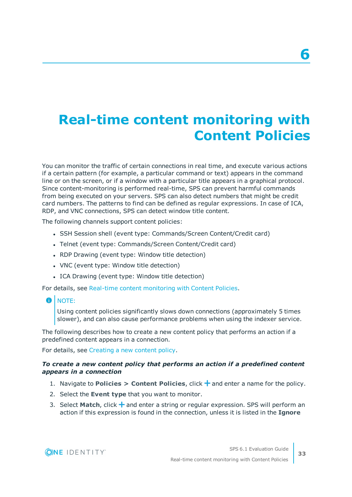# <span id="page-32-0"></span>**Real-time content monitoring with Content Policies**

You can monitor the traffic of certain connections in real time, and execute various actions if a certain pattern (for example, a particular command or text) appears in the command line or on the screen, or if a window with a particular title appears in a graphical protocol. Since content-monitoring is performed real-time, SPS can prevent harmful commands from being executed on your servers. SPS can also detect numbers that might be credit card numbers. The patterns to find can be defined as regular expressions. In case of ICA, RDP, and VNC connections, SPS can detect window title content.

The following channels support content policies:

- SSH Session shell (event type: Commands/Screen Content/Credit card)
- Telnet (event type: Commands/Screen Content/Credit card)
- RDP Drawing (event type: Window title detection)
- VNC (event type: Window title detection)
- ICA Drawing (event type: Window title detection)

For details, see Real-time content [monitoring](https://support.oneidentity.com/technical-documents/safeguard-for-privileged-sessions/6.1.0/administration-guide/general-connection-settings/real-time-content-monitoring-with-content-policies/) with Content Policies.

#### $\bullet$  NOTE:

Using content policies significantly slows down connections (approximately 5 times slower), and can also cause performance problems when using the indexer service.

The following describes how to create a new content policy that performs an action if a predefined content appears in a connection.

For details, see [Creating](https://support.oneidentity.com/technical-documents/safeguard-for-privileged-sessions/6.1.0/administration-guide/general-connection-settings/real-time-content-monitoring-with-content-policies/creating-a-new-content-policy/) a new content policy.

#### *To create a new content policy that performs an action if a predefined content appears in a connection*

- 1. Navigate to **Policies > Content Policies**, click  $\frac{1}{\tau}$  and enter a name for the policy.
- 2. Select the **Event type** that you want to monitor.
- 3. Select **Match**, click  $\frac{1}{2}$  and enter a string or regular expression. SPS will perform an action if this expression is found in the connection, unless it is listed in the **Ignore**

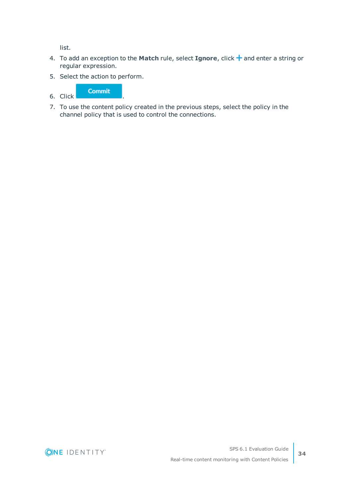list.

- 4. To add an exception to the Match rule, select **Ignore**, click + and enter a string or regular expression.
- 5. Select the action to perform.

6. Click **Commit** 

7. To use the content policy created in the previous steps, select the policy in the channel policy that is used to control the connections.

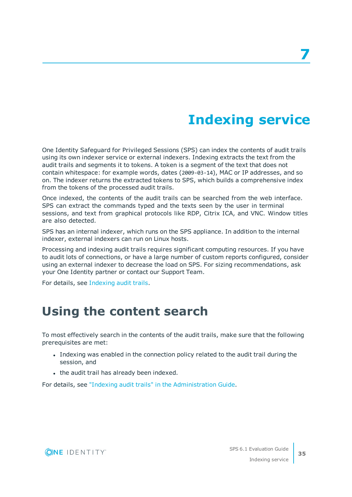# **Indexing service**

<span id="page-34-0"></span>One Identity Safeguard for Privileged Sessions (SPS) can index the contents of audit trails using its own indexer service or external indexers. Indexing extracts the text from the audit trails and segments it to tokens. A token is a segment of the text that does not contain whitespace: for example words, dates (2009-03-14), MAC or IP addresses, and so on. The indexer returns the extracted tokens to SPS, which builds a comprehensive index from the tokens of the processed audit trails.

Once indexed, the contents of the audit trails can be searched from the web interface. SPS can extract the commands typed and the texts seen by the user in terminal sessions, and text from graphical protocols like RDP, Citrix ICA, and VNC. Window titles are also detected.

SPS has an internal indexer, which runs on the SPS appliance. In addition to the internal indexer, external indexers can run on Linux hosts.

Processing and indexing audit trails requires significant computing resources. If you have to audit lots of connections, or have a large number of custom reports configured, consider using an external indexer to decrease the load on SPS. For sizing recommendations, ask your One Identity partner or contact our Support Team.

<span id="page-34-1"></span>For details, see [Indexing](https://support.oneidentity.com/technical-documents/safeguard-for-privileged-sessions/6.1.0/administration-guide/) audit trails.

## **Using the content search**

To most effectively search in the contents of the audit trails, make sure that the following prerequisites are met:

- Indexing was enabled in the connection policy related to the audit trail during the session, and
- . the audit trail has already been indexed.

For details, see "Indexing audit trails" in the [Administration](https://support.oneidentity.com/technical-documents/safeguard-for-privileged-sessions/6.1.0/administration-guide/) Guide.

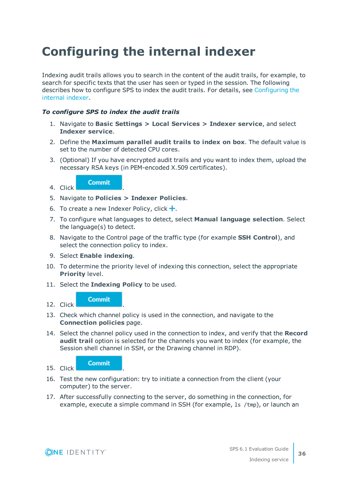# <span id="page-35-0"></span>**Configuring the internal indexer**

Indexing audit trails allows you to search in the content of the audit trails, for example, to search for specific texts that the user has seen or typed in the session. The following describes how to configure SPS to index the audit trails. For details, see [Configuring](https://support.oneidentity.com/technical-documents/safeguard-for-privileged-sessions/6.1.0/administration-guide/indexing-audit-trails/configuring-the-internal-indexer/) the [internal](https://support.oneidentity.com/technical-documents/safeguard-for-privileged-sessions/6.1.0/administration-guide/indexing-audit-trails/configuring-the-internal-indexer/) indexer.

#### *To configure SPS to index the audit trails*

- 1. Navigate to **Basic Settings > Local Services > Indexer service**, and select **Indexer service**.
- 2. Define the **Maximum parallel audit trails to index on box**. The default value is set to the number of detected CPU cores.
- 3. (Optional) If you have encrypted audit trails and you want to index them, upload the necessary RSA keys (in PEM-encoded X.509 certificates).

**Commit** 

4. Click .

- 5. Navigate to **Policies > Indexer Policies**.
- 6. To create a new Indexer Policy, click  $\pm$ .
- 7. To configure what languages to detect, select **Manual language selection**. Select the language(s) to detect.
- 8. Navigate to the Control page of the traffic type (for example **SSH Control**), and select the connection policy to index.
- 9. Select **Enable indexing**.
- 10. To determine the priority level of indexing this connection, select the appropriate **Priority** level.
- 11. Select the **Indexing Policy** to be used.

#### **Commit** 12. Click .

- 13. Check which channel policy is used in the connection, and navigate to the **Connection policies** page.
- 14. Select the channel policy used in the connection to index, and verify that the **Record audit trail** option is selected for the channels you want to index (for example, the Session shell channel in SSH, or the Drawing channel in RDP).



- 16. Test the new configuration: try to initiate a connection from the client (your computer) to the server.
- 17. After successfully connecting to the server, do something in the connection, for example, execute a simple command in SSH (for example, ls /tmp), or launch an

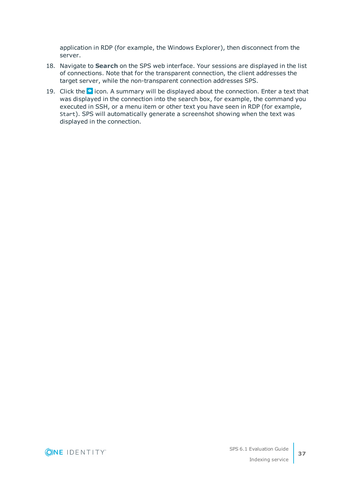application in RDP (for example, the Windows Explorer), then disconnect from the server.

- 18. Navigate to **Search** on the SPS web interface. Your sessions are displayed in the list of connections. Note that for the transparent connection, the client addresses the target server, while the non-transparent connection addresses SPS.
- 19. Click the  $\bullet$  icon. A summary will be displayed about the connection. Enter a text that was displayed in the connection into the search box, for example, the command you executed in SSH, or a menu item or other text you have seen in RDP (for example, Start). SPS will automatically generate a screenshot showing when the text was displayed in the connection.